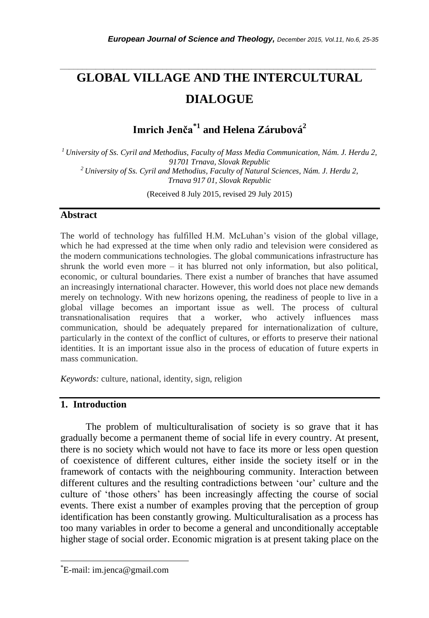# **GLOBAL VILLAGE AND THE INTERCULTURAL DIALOGUE**

*\_\_\_\_\_\_\_\_\_\_\_\_\_\_\_\_\_\_\_\_\_\_\_\_\_\_\_\_\_\_\_\_\_\_\_\_\_\_\_\_\_\_\_\_\_\_\_\_\_\_\_\_\_\_\_\_\_\_\_\_\_\_\_\_\_\_\_\_\_\_\_*

**Imrich Jenča\*1 and Helena Zárubová<sup>2</sup>**

*<sup>1</sup>University of Ss. Cyril and Methodius, Faculty of Mass Media Communication, Nám. J. Herdu 2, 91701 Trnava, Slovak Republic <sup>2</sup> University of Ss. Cyril and Methodius, Faculty of Natural Sciences, Nám. J. Herdu 2, Trnava 917 01, Slovak Republic*

(Received 8 July 2015, revised 29 July 2015)

### **Abstract**

The world of technology has fulfilled H.M. McLuhan"s vision of the global village, which he had expressed at the time when only radio and television were considered as the modern communications technologies. The global communications infrastructure has shrunk the world even more  $-$  it has blurred not only information, but also political, economic, or cultural boundaries. There exist a number of branches that have assumed an increasingly international character. However, this world does not place new demands merely on technology. With new horizons opening, the readiness of people to live in a global village becomes an important issue as well. The process of cultural transnationalisation requires that a worker, who actively influences mass communication, should be adequately prepared for internationalization of culture, particularly in the context of the conflict of cultures, or efforts to preserve their national identities. It is an important issue also in the process of education of future experts in mass communication.

*Keywords:* culture, national, identity, sign, religion

# **1. Introduction**

The problem of multiculturalisation of society is so grave that it has gradually become a permanent theme of social life in every country. At present, there is no society which would not have to face its more or less open question of coexistence of different cultures, either inside the society itself or in the framework of contacts with the neighbouring community. Interaction between different cultures and the resulting contradictions between "our" culture and the culture of "those others" has been increasingly affecting the course of social events. There exist a number of examples proving that the perception of group identification has been constantly growing. Multiculturalisation as a process has too many variables in order to become a general and unconditionally acceptable higher stage of social order. Economic migration is at present taking place on the

l

<sup>\*</sup>E-mail: im.jenca@gmail.com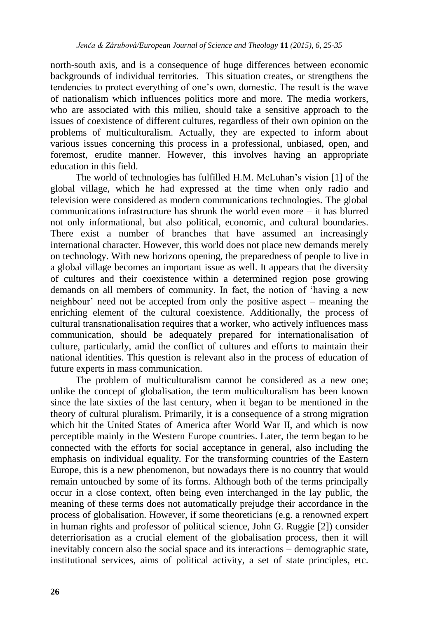north-south axis, and is a consequence of huge differences between economic backgrounds of individual territories. This situation creates, or strengthens the tendencies to protect everything of one"s own, domestic. The result is the wave of nationalism which influences politics more and more. The media workers, who are associated with this milieu, should take a sensitive approach to the issues of coexistence of different cultures, regardless of their own opinion on the problems of multiculturalism. Actually, they are expected to inform about various issues concerning this process in a professional, unbiased, open, and foremost, erudite manner. However, this involves having an appropriate education in this field.

The world of technologies has fulfilled H.M. McLuhan"s vision [1] of the global village, which he had expressed at the time when only radio and television were considered as modern communications technologies. The global communications infrastructure has shrunk the world even more – it has blurred not only informational, but also political, economic, and cultural boundaries. There exist a number of branches that have assumed an increasingly international character. However, this world does not place new demands merely on technology. With new horizons opening, the preparedness of people to live in a global village becomes an important issue as well. It appears that the diversity of cultures and their coexistence within a determined region pose growing demands on all members of community. In fact, the notion of "having a new neighbour" need not be accepted from only the positive aspect – meaning the enriching element of the cultural coexistence. Additionally, the process of cultural transnationalisation requires that a worker, who actively influences mass communication, should be adequately prepared for internationalisation of culture, particularly, amid the conflict of cultures and efforts to maintain their national identities. This question is relevant also in the process of education of future experts in mass communication.

The problem of multiculturalism cannot be considered as a new one; unlike the concept of globalisation, the term multiculturalism has been known since the late sixties of the last century, when it began to be mentioned in the theory of cultural pluralism. Primarily, it is a consequence of a strong migration which hit the United States of America after World War II, and which is now perceptible mainly in the Western Europe countries. Later, the term began to be connected with the efforts for social acceptance in general, also including the emphasis on individual equality. For the transforming countries of the Eastern Europe, this is a new phenomenon, but nowadays there is no country that would remain untouched by some of its forms. Although both of the terms principally occur in a close context, often being even interchanged in the lay public, the meaning of these terms does not automatically prejudge their accordance in the process of globalisation. However, if some theoreticians (e.g. a renowned expert in human rights and professor of political science, John G. Ruggie [2]) consider deterriorisation as a crucial element of the globalisation process, then it will inevitably concern also the social space and its interactions – demographic state, institutional services, aims of political activity, a set of state principles, etc.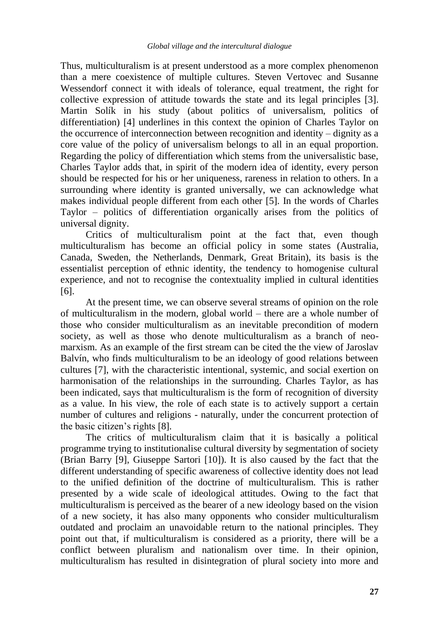Thus, multiculturalism is at present understood as a more complex phenomenon than a mere coexistence of multiple cultures. Steven Vertovec and Susanne Wessendorf connect it with ideals of tolerance, equal treatment, the right for collective expression of attitude towards the state and its legal principles [3]. Martin Solík in his study (about politics of universalism, politics of differentiation) [4] underlines in this context the opinion of Charles Taylor on the occurrence of interconnection between recognition and identity – dignity as a core value of the policy of universalism belongs to all in an equal proportion. Regarding the policy of differentiation which stems from the universalistic base, Charles Taylor adds that, in spirit of the modern idea of identity, every person should be respected for his or her uniqueness, rareness in relation to others. In a surrounding where identity is granted universally, we can acknowledge what makes individual people different from each other [5]. In the words of Charles Taylor – politics of differentiation organically arises from the politics of universal dignity.

Critics of multiculturalism point at the fact that, even though multiculturalism has become an official policy in some states (Australia, Canada, Sweden, the Netherlands, Denmark, Great Britain), its basis is the essentialist perception of ethnic identity, the tendency to homogenise cultural experience, and not to recognise the contextuality implied in cultural identities [6].

At the present time, we can observe several streams of opinion on the role of multiculturalism in the modern, global world – there are a whole number of those who consider multiculturalism as an inevitable precondition of modern society, as well as those who denote multiculturalism as a branch of neomarxism. As an example of the first stream can be cited the the view of Jaroslav Balvín, who finds multiculturalism to be an ideology of good relations between cultures [7], with the characteristic intentional, systemic, and social exertion on harmonisation of the relationships in the surrounding. Charles Taylor, as has been indicated, says that multiculturalism is the form of recognition of diversity as a value. In his view, the role of each state is to actively support a certain number of cultures and religions - naturally, under the concurrent protection of the basic citizen"s rights [8].

The critics of multiculturalism claim that it is basically a political programme trying to institutionalise cultural diversity by segmentation of society (Brian Barry [9], Giuseppe Sartori [10]). It is also caused by the fact that the different understanding of specific awareness of collective identity does not lead to the unified definition of the doctrine of multiculturalism. This is rather presented by a wide scale of ideological attitudes. Owing to the fact that multiculturalism is perceived as the bearer of a new ideology based on the vision of a new society, it has also many opponents who consider multiculturalism outdated and proclaim an unavoidable return to the national principles. They point out that, if multiculturalism is considered as a priority, there will be a conflict between pluralism and nationalism over time. In their opinion, multiculturalism has resulted in disintegration of plural society into more and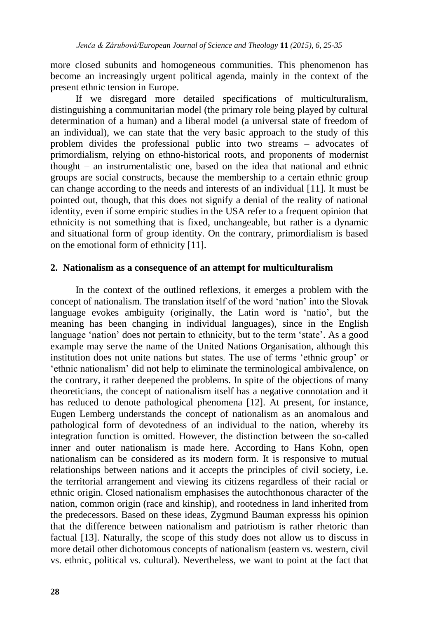more closed subunits and homogeneous communities. This phenomenon has become an increasingly urgent political agenda, mainly in the context of the present ethnic tension in Europe.

If we disregard more detailed specifications of multiculturalism, distinguishing a communitarian model (the primary role being played by cultural determination of a human) and a liberal model (a universal state of freedom of an individual), we can state that the very basic approach to the study of this problem divides the professional public into two streams – advocates of primordialism, relying on ethno-historical roots, and proponents of modernist thought – an instrumentalistic one, based on the idea that national and ethnic groups are social constructs, because the membership to a certain ethnic group can change according to the needs and interests of an individual [11]. It must be pointed out, though, that this does not signify a denial of the reality of national identity, even if some empiric studies in the USA refer to a frequent opinion that ethnicity is not something that is fixed, unchangeable, but rather is a dynamic and situational form of group identity. On the contrary, primordialism is based on the emotional form of ethnicity [11].

#### **2. Nationalism as a consequence of an attempt for multiculturalism**

In the context of the outlined reflexions, it emerges a problem with the concept of nationalism. The translation itself of the word "nation" into the Slovak language evokes ambiguity (originally, the Latin word is 'natio', but the meaning has been changing in individual languages), since in the English language 'nation' does not pertain to ethnicity, but to the term 'state'. As a good example may serve the name of the United Nations Organisation, although this institution does not unite nations but states. The use of terms "ethnic group" or "ethnic nationalism" did not help to eliminate the terminological ambivalence, on the contrary, it rather deepened the problems. In spite of the objections of many theoreticians, the concept of nationalism itself has a negative connotation and it has reduced to denote pathological phenomena [12]. At present, for instance, Eugen Lemberg understands the concept of nationalism as an anomalous and pathological form of devotedness of an individual to the nation, whereby its integration function is omitted. However, the distinction between the so-called inner and outer nationalism is made here. According to Hans Kohn, open nationalism can be considered as its modern form. It is responsive to mutual relationships between nations and it accepts the principles of civil society, i.e. the territorial arrangement and viewing its citizens regardless of their racial or ethnic origin. Closed nationalism emphasises the autochthonous character of the nation, common origin (race and kinship), and rootedness in land inherited from the predecessors. Based on these ideas, Zygmund Bauman expresss his opinion that the difference between nationalism and patriotism is rather rhetoric than factual [13]. Naturally, the scope of this study does not allow us to discuss in more detail other dichotomous concepts of nationalism (eastern vs. western, civil vs. ethnic, political vs. cultural). Nevertheless, we want to point at the fact that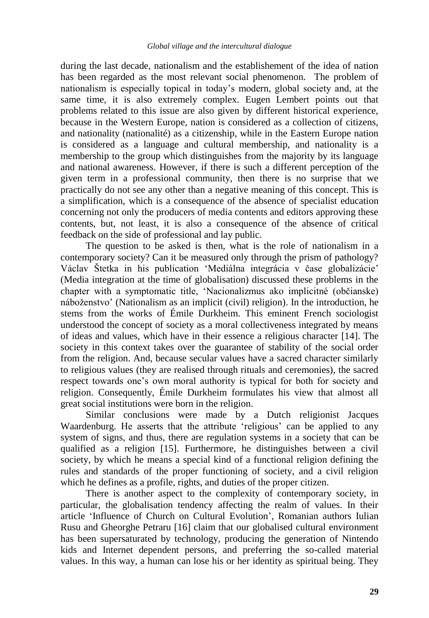during the last decade, nationalism and the establishement of the idea of nation has been regarded as the most relevant social phenomenon. The problem of nationalism is especially topical in today"s modern, global society and, at the same time, it is also extremely complex. Eugen Lembert points out that problems related to this issue are also given by different historical experience, because in the Western Europe, nation is considered as a collection of citizens, and nationality (nationalité) as a citizenship, while in the Eastern Europe nation is considered as a language and cultural membership, and nationality is a membership to the group which distinguishes from the majority by its language and national awareness. However, if there is such a different perception of the given term in a professional community, then there is no surprise that we practically do not see any other than a negative meaning of this concept. This is a simplification, which is a consequence of the absence of specialist education concerning not only the producers of media contents and editors approving these contents, but, not least, it is also a consequence of the absence of critical feedback on the side of professional and lay public.

The question to be asked is then, what is the role of nationalism in a contemporary society? Can it be measured only through the prism of pathology? Václav Štetka in his publication "Mediálna integrácia v čase globalizácie" (Media integration at the time of globalisation) discussed these problems in the chapter with a symptomatic title, "Nacionalizmus ako implicitné (občianske) náboženstvo' (Nationalism as an implicit (civil) religion). In the introduction, he stems from the works of Émile Durkheim. This eminent French sociologist understood the concept of society as a moral collectiveness integrated by means of ideas and values, which have in their essence a religious character [14]. The society in this context takes over the guarantee of stability of the social order from the religion. And, because secular values have a sacred character similarly to religious values (they are realised through rituals and ceremonies), the sacred respect towards one's own moral authority is typical for both for society and religion. Consequently, Émile Durkheim formulates his view that almost all great social institutions were born in the religion.

Similar conclusions were made by a Dutch religionist Jacques Waardenburg. He asserts that the attribute 'religious' can be applied to any system of signs, and thus, there are regulation systems in a society that can be qualified as a religion [15]. Furthermore, he distinguishes between a civil society, by which he means a special kind of a functional religion defining the rules and standards of the proper functioning of society, and a civil religion which he defines as a profile, rights, and duties of the proper citizen.

There is another aspect to the complexity of contemporary society, in particular, the globalisation tendency affecting the realm of values. In their article "Influence of Church on Cultural Evolution", Romanian authors Iulian Rusu and Gheorghe Petraru [16] claim that our globalised cultural environment has been supersaturated by technology, producing the generation of Nintendo kids and Internet dependent persons, and preferring the so-called material values. In this way, a human can lose his or her identity as spiritual being. They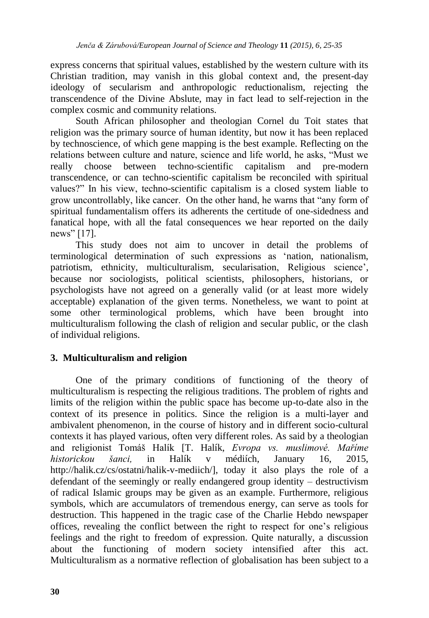express concerns that spiritual values, established by the western culture with its Christian tradition, may vanish in this global context and, the present-day ideology of secularism and anthropologic reductionalism, rejecting the transcendence of the Divine Abslute, may in fact lead to self-rejection in the complex cosmic and community relations.

South African philosopher and theologian Cornel du Toit states that religion was the primary source of human identity, but now it has been replaced by technoscience, of which gene mapping is the best example. Reflecting on the relations between culture and nature, science and life world, he asks, "Must we really choose between techno-scientific capitalism and pre-modern transcendence, or can techno-scientific capitalism be reconciled with spiritual values?" In his view, techno-scientific capitalism is a closed system liable to grow uncontrollably, like cancer. On the other hand, he warns that "any form of spiritual fundamentalism offers its adherents the certitude of one-sidedness and fanatical hope, with all the fatal consequences we hear reported on the daily news" [17].

This study does not aim to uncover in detail the problems of terminological determination of such expressions as "nation, nationalism, patriotism, ethnicity, multiculturalism, secularisation, Religious science", because nor sociologists, political scientists, philosophers, historians, or psychologists have not agreed on a generally valid (or at least more widely acceptable) explanation of the given terms. Nonetheless, we want to point at some other terminological problems, which have been brought into multiculturalism following the clash of religion and secular public, or the clash of individual religions.

# **3. Multiculturalism and religion**

One of the primary conditions of functioning of the theory of multiculturalism is respecting the religious traditions. The problem of rights and limits of the religion within the public space has become up-to-date also in the context of its presence in politics. Since the religion is a multi-layer and ambivalent phenomenon, in the course of history and in different socio-cultural contexts it has played various, often very different roles. As said by a theologian and religionist Tomáš Halík [T. Halík, *Evropa vs. muslimové. Maříme historickou šanci,* in Halík v médiích, January 16, 2015, http://halik.cz/cs/ostatni/halik-v-mediich/], today it also plays the role of a defendant of the seemingly or really endangered group identity – destructivism of radical Islamic groups may be given as an example. Furthermore, religious symbols, which are accumulators of tremendous energy, can serve as tools for destruction. This happened in the tragic case of the Charlie Hebdo newspaper offices, revealing the conflict between the right to respect for one"s religious feelings and the right to freedom of expression. Quite naturally, a discussion about the functioning of modern society intensified after this act. Multiculturalism as a normative reflection of globalisation has been subject to a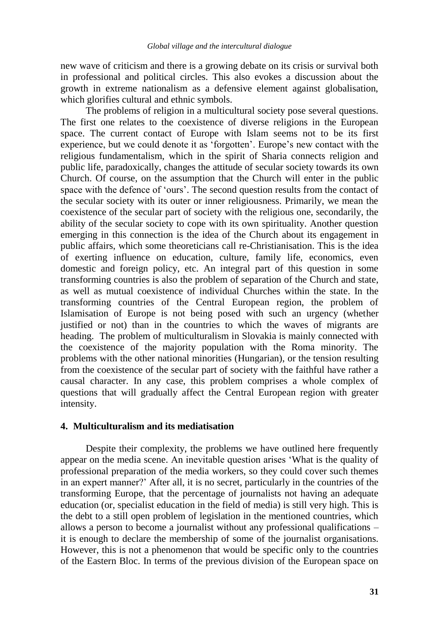new wave of criticism and there is a growing debate on its crisis or survival both in professional and political circles. This also evokes a discussion about the growth in extreme nationalism as a defensive element against globalisation, which glorifies cultural and ethnic symbols.

The problems of religion in a multicultural society pose several questions. The first one relates to the coexistence of diverse religions in the European space. The current contact of Europe with Islam seems not to be its first experience, but we could denote it as 'forgotten'. Europe's new contact with the religious fundamentalism, which in the spirit of Sharia connects religion and public life, paradoxically, changes the attitude of secular society towards its own Church. Of course, on the assumption that the Church will enter in the public space with the defence of 'ours'. The second question results from the contact of the secular society with its outer or inner religiousness. Primarily, we mean the coexistence of the secular part of society with the religious one, secondarily, the ability of the secular society to cope with its own spirituality. Another question emerging in this connection is the idea of the Church about its engagement in public affairs, which some theoreticians call re-Christianisation. This is the idea of exerting influence on education, culture, family life, economics, even domestic and foreign policy, etc. An integral part of this question in some transforming countries is also the problem of separation of the Church and state, as well as mutual coexistence of individual Churches within the state. In the transforming countries of the Central European region, the problem of Islamisation of Europe is not being posed with such an urgency (whether justified or not) than in the countries to which the waves of migrants are heading. The problem of multiculturalism in Slovakia is mainly connected with the coexistence of the majority population with the Roma minority. The problems with the other national minorities (Hungarian), or the tension resulting from the coexistence of the secular part of society with the faithful have rather a causal character. In any case, this problem comprises a whole complex of questions that will gradually affect the Central European region with greater intensity.

#### **4. Multiculturalism and its mediatisation**

Despite their complexity, the problems we have outlined here frequently appear on the media scene. An inevitable question arises "What is the quality of professional preparation of the media workers, so they could cover such themes in an expert manner?" After all, it is no secret, particularly in the countries of the transforming Europe, that the percentage of journalists not having an adequate education (or, specialist education in the field of media) is still very high. This is the debt to a still open problem of legislation in the mentioned countries, which allows a person to become a journalist without any professional qualifications – it is enough to declare the membership of some of the journalist organisations. However, this is not a phenomenon that would be specific only to the countries of the Eastern Bloc. In terms of the previous division of the European space on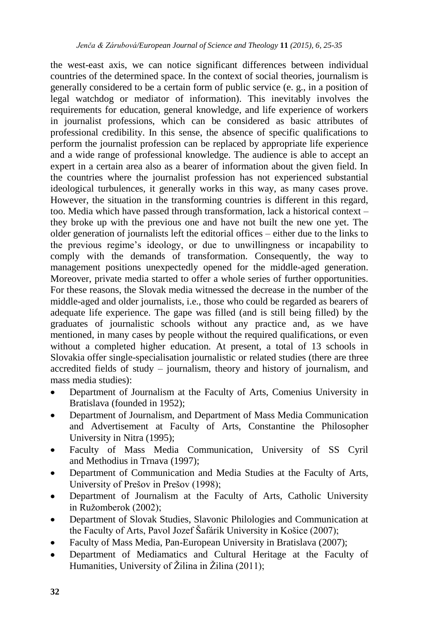the west-east axis, we can notice significant differences between individual countries of the determined space. In the context of social theories, journalism is generally considered to be a certain form of public service (e. g., in a position of legal watchdog or mediator of information). This inevitably involves the requirements for education, general knowledge, and life experience of workers in journalist professions, which can be considered as basic attributes of professional credibility. In this sense, the absence of specific qualifications to perform the journalist profession can be replaced by appropriate life experience and a wide range of professional knowledge. The audience is able to accept an expert in a certain area also as a bearer of information about the given field. In the countries where the journalist profession has not experienced substantial ideological turbulences, it generally works in this way, as many cases prove. However, the situation in the transforming countries is different in this regard, too. Media which have passed through transformation, lack a historical context – they broke up with the previous one and have not built the new one yet. The older generation of journalists left the editorial offices – either due to the links to the previous regime"s ideology, or due to unwillingness or incapability to comply with the demands of transformation. Consequently, the way to management positions unexpectedly opened for the middle-aged generation. Moreover, private media started to offer a whole series of further opportunities. For these reasons, the Slovak media witnessed the decrease in the number of the middle-aged and older journalists, i.e., those who could be regarded as bearers of adequate life experience. The gape was filled (and is still being filled) by the graduates of journalistic schools without any practice and, as we have mentioned, in many cases by people without the required qualifications, or even without a completed higher education. At present, a total of 13 schools in Slovakia offer single-specialisation journalistic or related studies (there are three accredited fields of study – journalism, theory and history of journalism, and mass media studies):

- Department of Journalism at the Faculty of Arts, Comenius University in Bratislava (founded in 1952);
- Department of Journalism, and Department of Mass Media Communication and Advertisement at Faculty of Arts, Constantine the Philosopher University in Nitra (1995);
- Faculty of Mass Media Communication, University of SS Cyril and Methodius in Trnava (1997);
- Department of Communication and Media Studies at the Faculty of Arts, University of Prešov in Prešov (1998);
- Department of Journalism at the Faculty of Arts, Catholic University in Ružomberok (2002);
- Department of Slovak Studies, Slavonic Philologies and Communication at the Faculty of Arts, Pavol Jozef Šafárik University in Košice (2007);
- Faculty of Mass Media, Pan-European University in Bratislava (2007);
- Department of Mediamatics and Cultural Heritage at the Faculty of Humanities, University of Žilina in Žilina (2011);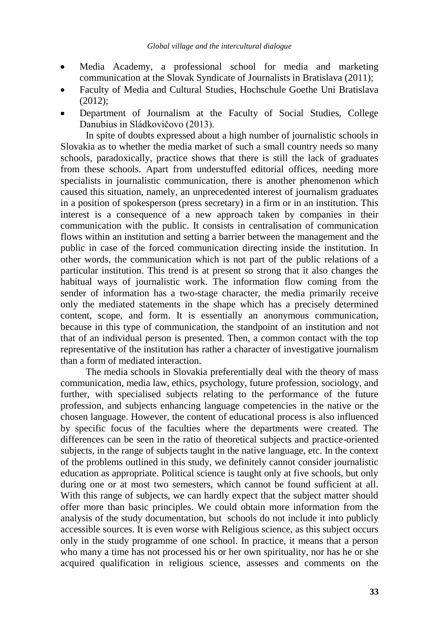- Media Academy, a professional school for media and marketing communication at the Slovak Syndicate of Journalists in Bratislava (2011);
- Faculty of Media and Cultural Studies, Hochschule Goethe Uni Bratislava  $(2012)$ :
- Department of Journalism at the Faculty of Social Studies, College Danubius in Sládkovičovo (2013).

In spite of doubts expressed about a high number of journalistic schools in Slovakia as to whether the media market of such a small country needs so many schools, paradoxically, practice shows that there is still the lack of graduates from these schools. Apart from understuffed editorial offices, needing more specialists in journalistic communication, there is another phenomenon which caused this situation, namely, an unprecedented interest of journalism graduates in a position of spokesperson (press secretary) in a firm or in an institution. This interest is a consequence of a new approach taken by companies in their communication with the public. It consists in centralisation of communication flows within an institution and setting a barrier between the management and the public in case of the forced communication directing inside the institution. In other words, the communication which is not part of the public relations of a particular institution. This trend is at present so strong that it also changes the habitual ways of journalistic work. The information flow coming from the sender of information has a two-stage character, the media primarily receive only the mediated statements in the shape which has a precisely determined content, scope, and form. It is essentially an anonymous communication, because in this type of communication, the standpoint of an institution and not that of an individual person is presented. Then, a common contact with the top representative of the institution has rather a character of investigative journalism than a form of mediated interaction.

The media schools in Slovakia preferentially deal with the theory of mass communication, media law, ethics, psychology, future profession, sociology, and further, with specialised subjects relating to the performance of the future profession, and subjects enhancing language competencies in the native or the chosen language. However, the content of educational process is also influenced by specific focus of the faculties where the departments were created. The differences can be seen in the ratio of theoretical subjects and practice-oriented subjects, in the range of subjects taught in the native language, etc. In the context of the problems outlined in this study, we definitely cannot consider journalistic education as appropriate. Political science is taught only at five schools, but only during one or at most two semesters, which cannot be found sufficient at all. With this range of subjects, we can hardly expect that the subject matter should offer more than basic principles. We could obtain more information from the analysis of the study documentation, but schools do not include it into publicly accessible sources. It is even worse with Religious science, as this subject occurs only in the study programme of one school. In practice, it means that a person who many a time has not processed his or her own spirituality, nor has he or she acquired qualification in religious science, assesses and comments on the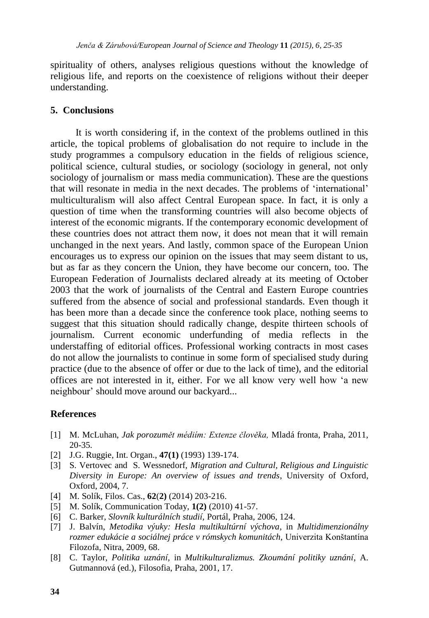spirituality of others, analyses religious questions without the knowledge of religious life, and reports on the coexistence of religions without their deeper understanding.

## **5. Conclusions**

It is worth considering if, in the context of the problems outlined in this article, the topical problems of globalisation do not require to include in the study programmes a compulsory education in the fields of religious science, political science, cultural studies, or sociology (sociology in general, not only sociology of journalism or mass media communication). These are the questions that will resonate in media in the next decades. The problems of "international" multiculturalism will also affect Central European space. In fact, it is only a question of time when the transforming countries will also become objects of interest of the economic migrants. If the contemporary economic development of these countries does not attract them now, it does not mean that it will remain unchanged in the next years. And lastly, common space of the European Union encourages us to express our opinion on the issues that may seem distant to us, but as far as they concern the Union, they have become our concern, too. The European Federation of Journalists declared already at its meeting of October 2003 that the work of journalists of the Central and Eastern Europe countries suffered from the absence of social and professional standards. Even though it has been more than a decade since the conference took place, nothing seems to suggest that this situation should radically change, despite thirteen schools of journalism. Current economic underfunding of media reflects in the understaffing of editorial offices. Professional working contracts in most cases do not allow the journalists to continue in some form of specialised study during practice (due to the absence of offer or due to the lack of time), and the editorial offices are not interested in it, either. For we all know very well how "a new neighbour" should move around our backyard...

## **References**

- [1] M. McLuhan, *Jak porozumět médiím: Extenze člověka,* Mladá fronta, Praha, 2011, 20-35*.*
- [2] J.G. Ruggie, Int. Organ., **47(1)** (1993) 139-174.
- [3] S. Vertovec and S. Wessnedorf, *Migration and Cultural, Religious and Linguistic Diversity in Europe: An overview of issues and trends*, University of Oxford, Oxford, 2004, 7.
- [4] M. Solík, Filos. Cas., **62**(**2)** (2014) 203-216.
- [5] M. Solík, Communication Today, **1(2)** (2010) 41-57.
- [6] C. Barker, *Slovník kulturálních studií,* Portál, Praha, 2006, 124.
- [7] J. Balvín, *Metodika výuky: Hesla multikultúrní výchova*, in *Multidimenzionálny rozmer edukácie a sociálnej práce v rómskych komunitách,* Univerzita Konštantína Filozofa, Nitra, 2009, 68.
- [8] C. Taylor, *Politika uznání,* in *Multikulturalizmus. Zkoumání politiky uznání*, A. Gutmannová (ed.), Filosofia, Praha, 2001, 17.